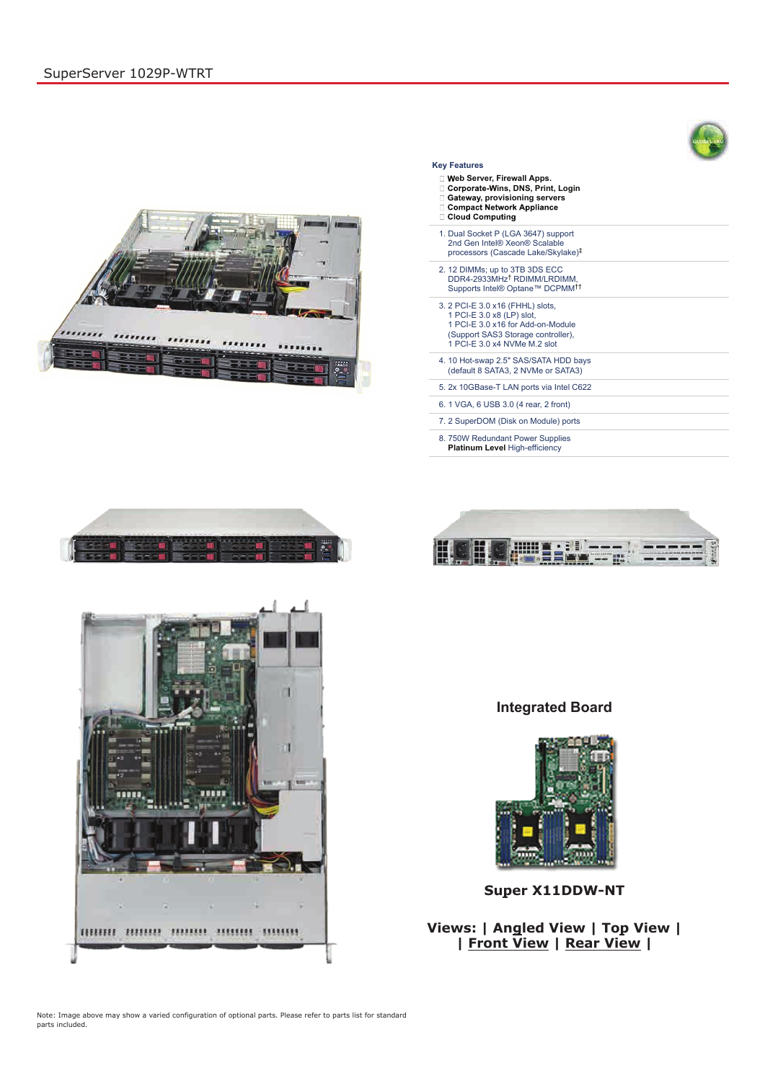**Integrated Board**





## **Super X11DDW-NT**

## **Views: | Angled View | Top View | | Front View | Rear View |**

Note: Image above may show a varied configuration of optional parts. Please refer to parts list for standard parts included.

## **Key Features**

- **eb Server, Firewall Apps.**
- □ Corporate-Wins, DNS, Print, Login
- **□ Gateway, provisioning servers**<br>□ Compact Network Appliance
- 
- □ Cloud Computing
- 1. Dual Socket P (LGA 3647) support 2nd Gen Intel® Xeon® Scalable processors (Cascade Lake/Skylake) ‡
- 2. 12 DIMMs; up to 3TB 3DS ECC DDR4-2933MHz<sup>†</sup> RDIMM/LRDIMM, Supports Intel® Optane™ DCPMM ††
- 3. 2 PCI-E 3.0 x16 (FHHL) slots, 1 PCI-E 3.0 x8 (LP) slot, 1 PCI-E 3.0 x16 for Add-on-Module (Support SAS3 Storage controller), 1 PCI-E 3.0 x4 NVMe M.2 slot
- 4. 10 Hot-swap 2.5" SAS/SATA HDD bays (default 8 SATA3, 2 NVMe or SATA3)
- 5. 2x 10GBase-T LAN ports via Intel C622
- 6. 1 VGA, 6 USB 3.0 (4 rear, 2 front)
- 7. 2 SuperDOM (Disk on Module) ports
- 8. 750W Redundant Power Supplies **Platinum Level** High-efficiency







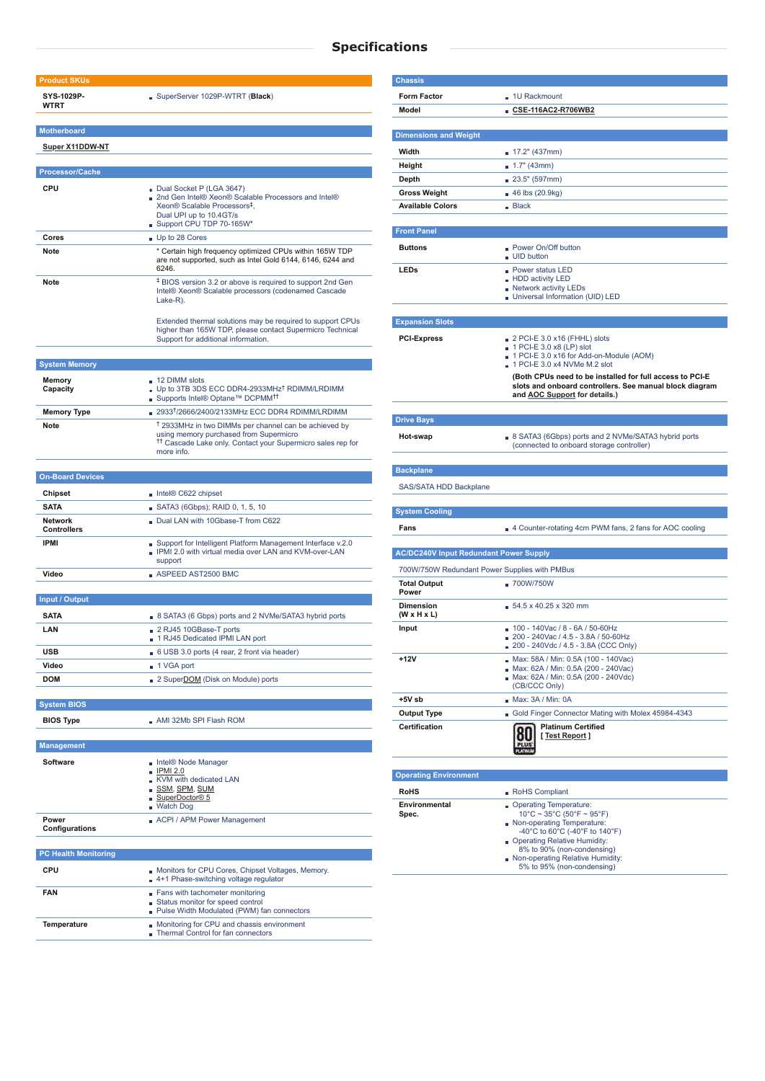## **Specifications**

| <b>Product SKUs</b>                        |                                                                                                                                                                                                    |  |  |  |
|--------------------------------------------|----------------------------------------------------------------------------------------------------------------------------------------------------------------------------------------------------|--|--|--|
| SYS-1029P-<br><b>WTRT</b>                  | SuperServer 1029P-WTRT (Black)                                                                                                                                                                     |  |  |  |
| <b>Motherboard</b>                         |                                                                                                                                                                                                    |  |  |  |
| <b>Super X11DDW-NT</b>                     |                                                                                                                                                                                                    |  |  |  |
|                                            |                                                                                                                                                                                                    |  |  |  |
| <b>Processor/Cache</b>                     |                                                                                                                                                                                                    |  |  |  |
| <b>CPU</b>                                 | Dual Socket P (LGA 3647)<br>2nd Gen Intel® Xeon® Scalable Processors and Intel®<br>Xeon® Scalable Processors <sup>‡</sup> .<br>Dual UPI up to 10.4GT/s<br>Support CPU TDP 70-165W*                 |  |  |  |
| Cores                                      | Up to 28 Cores                                                                                                                                                                                     |  |  |  |
| Note                                       | * Certain high frequency optimized CPUs within 165W TDP<br>are not supported, such as Intel Gold 6144, 6146, 6244 and<br>6246.                                                                     |  |  |  |
| <b>Note</b>                                | <sup>‡</sup> BIOS version 3.2 or above is required to support 2nd Gen<br>Intel® Xeon® Scalable processors (codenamed Cascade<br>Lake-R).                                                           |  |  |  |
|                                            | Extended thermal solutions may be required to support CPUs<br>higher than 165W TDP, please contact Supermicro Technical<br>Support for additional information.                                     |  |  |  |
|                                            |                                                                                                                                                                                                    |  |  |  |
| <b>System Memory</b><br>Memory<br>Capacity | 12 DIMM slots<br>Up to 3TB 3DS ECC DDR4-2933MHz <sup>†</sup> RDIMM/LRDIMM                                                                                                                          |  |  |  |
| <b>Memory Type</b>                         | ■ Supports Intel® Optane™ DCPMM <sup>††</sup><br>2933 <sup>†</sup> /2666/2400/2133MHz ECC DDR4 RDIMM/LRDIMM                                                                                        |  |  |  |
| Note                                       | <sup>†</sup> 2933MHz in two DIMMs per channel can be achieved by<br>using memory purchased from Supermicro<br><sup>11</sup> Cascade Lake only. Contact your Supermicro sales rep for<br>more info. |  |  |  |
|                                            |                                                                                                                                                                                                    |  |  |  |
| <b>On-Board Devices</b>                    |                                                                                                                                                                                                    |  |  |  |
| <b>Chipset</b>                             | $\blacksquare$ Intel® C622 chipset                                                                                                                                                                 |  |  |  |
| <b>SATA</b>                                | SATA3 (6Gbps); RAID 0, 1, 5, 10                                                                                                                                                                    |  |  |  |
| <b>Network</b><br><b>Controllers</b>       | Dual LAN with 10Gbase-T from C622                                                                                                                                                                  |  |  |  |
| <b>IPMI</b>                                | Support for Intelligent Platform Management Interface v.2.0<br>IPMI 2.0 with virtual media over LAN and KVM-over-LAN<br>support                                                                    |  |  |  |
| Video                                      | $\blacksquare$ ASPEED AST2500 BMC                                                                                                                                                                  |  |  |  |
|                                            |                                                                                                                                                                                                    |  |  |  |
| <b>Input / Output</b>                      |                                                                                                                                                                                                    |  |  |  |
| <b>SATA</b>                                | B SATA3 (6 Gbps) ports and 2 NVMe/SATA3 hybrid ports                                                                                                                                               |  |  |  |
| LAN                                        | 2 RJ45 10GBase-T ports<br>1 RJ45 Dedicated IPMI LAN port                                                                                                                                           |  |  |  |
| <b>USB</b>                                 | 6 USB 3.0 ports (4 rear, 2 front via header)                                                                                                                                                       |  |  |  |
| Video                                      | ■ 1 VGA port                                                                                                                                                                                       |  |  |  |
| <b>DOM</b>                                 | 2 SuperDOM (Disk on Module) ports                                                                                                                                                                  |  |  |  |
|                                            |                                                                                                                                                                                                    |  |  |  |
| <b>System BIOS</b>                         |                                                                                                                                                                                                    |  |  |  |
| <b>BIOS Type</b>                           | ■ AMI 32Mb SPI Flash ROM                                                                                                                                                                           |  |  |  |
|                                            |                                                                                                                                                                                                    |  |  |  |
| <b>Management</b>                          |                                                                                                                                                                                                    |  |  |  |
| <b>Software</b>                            | Intel® Node Manager<br><b>IPMI 2.0</b><br>KVM with dedicated LAN<br><u>_ SSM, SPM, SUM</u>                                                                                                         |  |  |  |

SuperDoctor® 5 Watch Dog

| ACPI / APM Power Management<br><b>Power</b><br><b>Configurations</b> |                                                                                                                       | Spec. | $10^{\circ}$ C ~ 35°C (50°F ~ 95°F)<br>Non-operating Temperature:<br>-40°C to 60°C (-40°F to 140°F) |
|----------------------------------------------------------------------|-----------------------------------------------------------------------------------------------------------------------|-------|-----------------------------------------------------------------------------------------------------|
| <b>PC Health Monitoring</b>                                          |                                                                                                                       |       | Operating Relative Humidity:<br>8% to 90% (non-condensing)<br>Non-operating Relative Humidity:      |
| <b>CPU</b>                                                           | Monitors for CPU Cores, Chipset Voltages, Memory.<br>4+1 Phase-switching voltage regulator                            |       | 5% to 95% (non-condensing)                                                                          |
| <b>FAN</b>                                                           | Fans with tachometer monitoring<br>■ Status monitor for speed control<br>• Pulse Width Modulated (PWM) fan connectors |       |                                                                                                     |
| Temperature                                                          | Monitoring for CPU and chassis environment<br>Thermal Control for fan connectors                                      |       |                                                                                                     |

| <b>Chassis</b>                                |                                                                                                                     |  |  |
|-----------------------------------------------|---------------------------------------------------------------------------------------------------------------------|--|--|
| <b>Form Factor</b>                            | . 1U Rackmount                                                                                                      |  |  |
| Model                                         | ∎ CSE-116AC2-R706WB2                                                                                                |  |  |
|                                               |                                                                                                                     |  |  |
| <b>Dimensions and Weight</b>                  |                                                                                                                     |  |  |
| Width                                         | 17.2" (437mm)                                                                                                       |  |  |
| Height                                        | $\blacksquare$ 1.7" (43mm)                                                                                          |  |  |
| Depth<br><b>Gross Weight</b>                  | $\blacksquare$ 23.5" (597mm)                                                                                        |  |  |
| <b>Available Colors</b>                       | ■ 46 lbs (20.9kg)<br>Blace                                                                                          |  |  |
|                                               |                                                                                                                     |  |  |
| <b>Front Panel</b>                            |                                                                                                                     |  |  |
| <b>Buttons</b>                                | <b>Power On/Off button</b>                                                                                          |  |  |
|                                               | UID button                                                                                                          |  |  |
| <b>LEDs</b>                                   | ■ Power status LED                                                                                                  |  |  |
|                                               | - HDD activity LED<br>Network activity LEDs                                                                         |  |  |
|                                               | Universal Information (UID) LED                                                                                     |  |  |
|                                               |                                                                                                                     |  |  |
| <b>Expansion Slots</b>                        |                                                                                                                     |  |  |
| <b>PCI-Express</b>                            | $2$ PCI-E 3.0 x16 (FHHL) slots<br>1 PCI-E 3.0 x8 (LP) slot                                                          |  |  |
|                                               | 1 PCI-E 3.0 x16 for Add-on-Module (AOM)                                                                             |  |  |
|                                               | $\blacksquare$ 1 PCI-E 3.0 x4 NVMe M.2 slot                                                                         |  |  |
|                                               | (Both CPUs need to be installed for full access to PCI-E<br>slots and onboard controllers. See manual block diagram |  |  |
|                                               | and AOC Support for details.)                                                                                       |  |  |
|                                               |                                                                                                                     |  |  |
| <b>Drive Bays</b>                             |                                                                                                                     |  |  |
| Hot-swap                                      | B SATA3 (6Gbps) ports and 2 NVMe/SATA3 hybrid ports<br>(connected to onboard storage controller)                    |  |  |
|                                               |                                                                                                                     |  |  |
| <b>Backplane</b>                              |                                                                                                                     |  |  |
| SAS/SATA HDD Backplane                        |                                                                                                                     |  |  |
|                                               |                                                                                                                     |  |  |
| <b>System Cooling</b>                         |                                                                                                                     |  |  |
| Fans                                          | 4 Counter-rotating 4cm PWM fans, 2 fans for AOC cooling                                                             |  |  |
|                                               |                                                                                                                     |  |  |
| <b>AC/DC240V Input Redundant Power Supply</b> |                                                                                                                     |  |  |
| 700W/750W Redundant Power Supplies with PMBus |                                                                                                                     |  |  |
| <b>Total Output</b><br>Power                  | $-700W/750W$                                                                                                        |  |  |
| <b>Dimension</b>                              | $54.5 \times 40.25 \times 320$ mm                                                                                   |  |  |
| $(W \times H \times L)$                       |                                                                                                                     |  |  |
| Input                                         | ■ 100 - 140Vac / 8 - 6A / 50-60Hz                                                                                   |  |  |
|                                               | $200 - 240$ Vac / 4.5 - 3.8A / 50-60Hz<br>200 - 240Vdc / 4.5 - 3.8A (CCC Only)                                      |  |  |
| +12V                                          | Max: 58A / Min: 0.5A (100 - 140Vac)                                                                                 |  |  |
|                                               | Max: 62A / Min: 0.5A (200 - 240Vac)<br>Max: 62A / Min: 0.5A (200 - 240Vdc)                                          |  |  |
|                                               | (CB/CCC Only)                                                                                                       |  |  |
| +5V sb                                        | Max: 3A/Min: 0A                                                                                                     |  |  |
| <b>Output Type</b>                            | Gold Finger Connector Mating with Molex 45984-4343                                                                  |  |  |
| <b>Certification</b>                          | <b>Platinum Certified</b>                                                                                           |  |  |
|                                               | [Test Report]                                                                                                       |  |  |
|                                               |                                                                                                                     |  |  |
| <b>Operating Environment</b>                  |                                                                                                                     |  |  |
|                                               |                                                                                                                     |  |  |
| <b>RoHS</b>                                   | RoHS Compliant                                                                                                      |  |  |

**Environmental**

Operating Temperature: